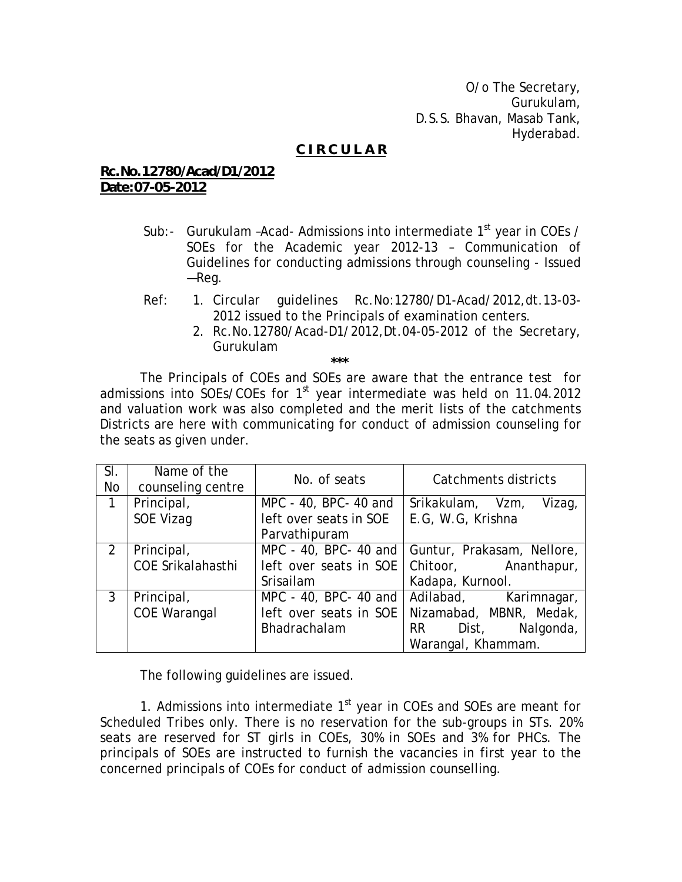O/o The Secretary, Gurukulam, D.S.S. Bhavan, Masab Tank, Hyderabad.

## **C I R C U L A R**

## **Rc.No.12780/Acad/D1/2012 Date:07-05-2012**

 **\*\*\*** 

- Sub:- Gurukulam -Acad- Admissions into intermediate  $1<sup>st</sup>$  year in COEs / SOEs for the Academic year 2012-13 – Communication of Guidelines for conducting admissions through counseling - Issued —Reg.
- Ref: 1. Circular guidelines Rc.No:12780/D1-Acad/2012,dt.13-03- 2012 issued to the Principals of examination centers.
	- 2. Rc.No.12780/Acad-D1/2012,Dt.04-05-2012 of the Secretary, Gurukulam

The Principals of COEs and SOEs are aware that the entrance test for admissions into SOEs/COEs for  $1<sup>st</sup>$  year intermediate was held on 11.04.2012 and valuation work was also completed and the merit lists of the catchments Districts are here with communicating for conduct of admission counseling for the seats as given under.

| SI.<br><b>No</b> | Name of the<br>counseling centre | No. of seats           | Catchments districts                               |
|------------------|----------------------------------|------------------------|----------------------------------------------------|
| $\mathbf{1}$     | Principal,                       | MPC - 40, BPC- 40 and  | Srikakulam, Vzm,<br>Vizag,                         |
|                  | SOE Vizag                        | left over seats in SOE | E.G, W.G, Krishna                                  |
|                  |                                  | Parvathipuram          |                                                    |
| $\overline{2}$   | Principal,                       |                        | MPC - 40, BPC- 40 and   Guntur, Prakasam, Nellore, |
|                  | COE Srikalahasthi                |                        | left over seats in SOE   Chitoor, Ananthapur,      |
|                  |                                  | Srisailam              | Kadapa, Kurnool.                                   |
| 3                | Principal,                       | MPC - 40, BPC- 40 and  | Adilabad, Karimnagar,                              |
|                  | <b>COE Warangal</b>              | left over seats in SOE | Nizamabad, MBNR, Medak,                            |
|                  |                                  | Bhadrachalam           | RR Dist, Nalgonda,                                 |
|                  |                                  |                        | Warangal, Khammam.                                 |

The following guidelines are issued.

1. Admissions into intermediate  $1<sup>st</sup>$  year in COEs and SOEs are meant for Scheduled Tribes only. There is no reservation for the sub-groups in STs. 20% seats are reserved for ST girls in COEs, 30% in SOEs and 3% for PHCs. The principals of SOEs are instructed to furnish the vacancies in first year to the concerned principals of COEs for conduct of admission counselling.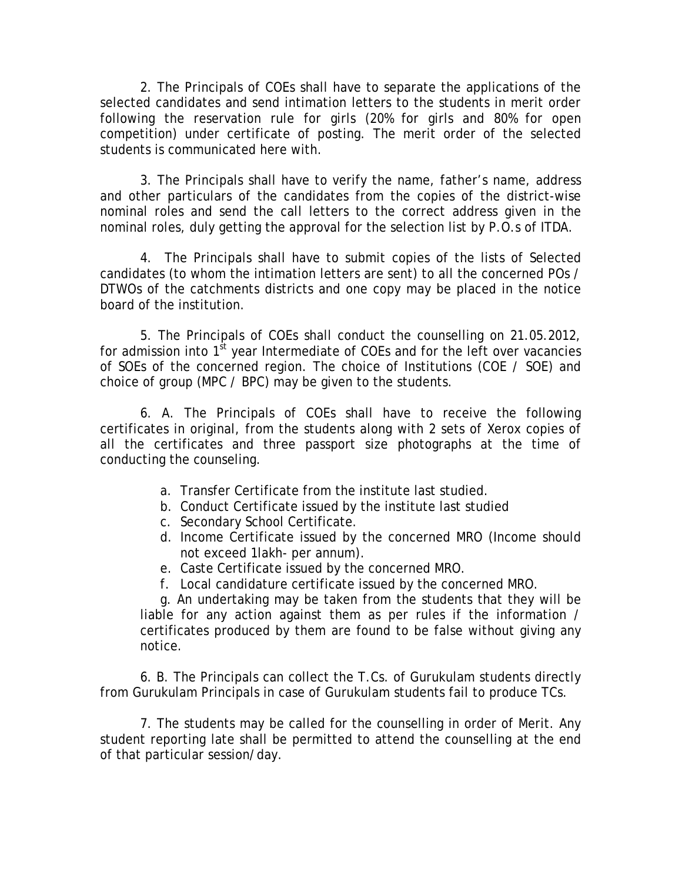2. The Principals of COEs shall have to separate the applications of the selected candidates and send intimation letters to the students in merit order following the reservation rule for girls (20% for girls and 80% for open competition) under certificate of posting. The merit order of the selected students is communicated here with.

 3. The Principals shall have to verify the name, father's name, address and other particulars of the candidates from the copies of the district-wise nominal roles and send the call letters to the correct address given in the nominal roles, duly getting the approval for the selection list by P.O.s of ITDA.

4. The Principals shall have to submit copies of the lists of Selected candidates (to whom the intimation letters are sent) to all the concerned POs / DTWOs of the catchments districts and one copy may be placed in the notice board of the institution.

5. The Principals of COEs shall conduct the counselling on 21.05.2012, for admission into  $1<sup>st</sup>$  year Intermediate of COEs and for the left over vacancies of SOEs of the concerned region. The choice of Institutions (COE / SOE) and choice of group (MPC / BPC) may be given to the students.

6. A. The Principals of COEs shall have to receive the following certificates in original, from the students along with 2 sets of Xerox copies of all the certificates and three passport size photographs at the time of conducting the counseling.

- a. Transfer Certificate from the institute last studied.
- b. Conduct Certificate issued by the institute last studied
- c. Secondary School Certificate.
- d. Income Certificate issued by the concerned MRO (Income should not exceed 1lakh- per annum).
- e. Caste Certificate issued by the concerned MRO.
- f. Local candidature certificate issued by the concerned MRO.

g. An undertaking may be taken from the students that they will be liable for any action against them as per rules if the information / certificates produced by them are found to be false without giving any notice.

 6. B. The Principals can collect the T.Cs. of Gurukulam students directly from Gurukulam Principals in case of Gurukulam students fail to produce TCs.

7. The students may be called for the counselling in order of Merit. Any student reporting late shall be permitted to attend the counselling at the end of that particular session/day.